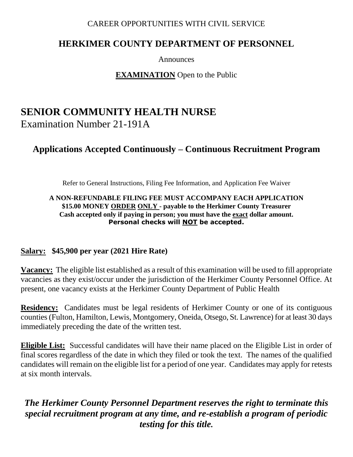#### CAREER OPPORTUNITIES WITH CIVIL SERVICE

### **HERKIMER COUNTY DEPARTMENT OF PERSONNEL**

Announces

**EXAMINATION** Open to the Public

# **SENIOR COMMUNITY HEALTH NURSE** Examination Number 21-191A

## **Applications Accepted Continuously – Continuous Recruitment Program**

Refer to General Instructions, Filing Fee Information, and Application Fee Waiver

#### **A NON-REFUNDABLE FILING FEE MUST ACCOMPANY EACH APPLICATION \$15.00 MONEY ORDER ONLY - payable to the Herkimer County Treasurer Cash accepted only if paying in person; you must have the exact dollar amount. Personal checks will NOT be accepted.**

#### **Salary: \$45,900 per year (2021 Hire Rate)**

**Vacancy:** The eligible list established as a result of this examination will be used to fill appropriate vacancies as they exist/occur under the jurisdiction of the Herkimer County Personnel Office. At present, one vacancy exists at the Herkimer County Department of Public Health

**Residency:** Candidates must be legal residents of Herkimer County or one of its contiguous counties (Fulton, Hamilton, Lewis, Montgomery, Oneida, Otsego, St. Lawrence) for at least 30 days immediately preceding the date of the written test.

**Eligible List:** Successful candidates will have their name placed on the Eligible List in order of final scores regardless of the date in which they filed or took the text. The names of the qualified candidates will remain on the eligible list for a period of one year. Candidates may apply for retests at six month intervals.

### *The Herkimer County Personnel Department reserves the right to terminate this special recruitment program at any time, and re-establish a program of periodic testing for this title.*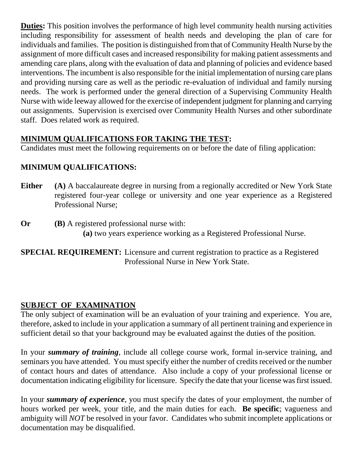**Duties:** This position involves the performance of high level community health nursing activities including responsibility for assessment of health needs and developing the plan of care for individuals and families. The position is distinguished from that of Community Health Nurse by the assignment of more difficult cases and increased responsibility for making patient assessments and amending care plans, along with the evaluation of data and planning of policies and evidence based interventions. The incumbent is also responsible for the initial implementation of nursing care plans and providing nursing care as well as the periodic re-evaluation of individual and family nursing needs. The work is performed under the general direction of a Supervising Community Health Nurse with wide leeway allowed for the exercise of independent judgment for planning and carrying out assignments. Supervision is exercised over Community Health Nurses and other subordinate staff. Does related work as required.

### **MINIMUM QUALIFICATIONS FOR TAKING THE TEST:**

Candidates must meet the following requirements on or before the date of filing application:

### **MINIMUM QUALIFICATIONS:**

- **Either** (A) A baccalaureate degree in nursing from a regionally accredited or New York State registered four-year college or university and one year experience as a Registered Professional Nurse;
- **Or (B)** A registered professional nurse with: **(a)** two years experience working as a Registered Professional Nurse.

**SPECIAL REQUIREMENT:** Licensure and current registration to practice as a Registered Professional Nurse in New York State.

#### **SUBJECT OF EXAMINATION**

The only subject of examination will be an evaluation of your training and experience. You are, therefore, asked to include in your application a summary of all pertinent training and experience in sufficient detail so that your background may be evaluated against the duties of the position.

In your *summary of training*, include all college course work, formal in-service training, and seminars you have attended. You must specify either the number of credits received or the number of contact hours and dates of attendance. Also include a copy of your professional license or documentation indicating eligibility for licensure. Specify the date that your license was first issued.

In your *summary of experience*, you must specify the dates of your employment, the number of hours worked per week, your title, and the main duties for each. **Be specific**; vagueness and ambiguity will *NOT* be resolved in your favor. Candidates who submit incomplete applications or documentation may be disqualified.